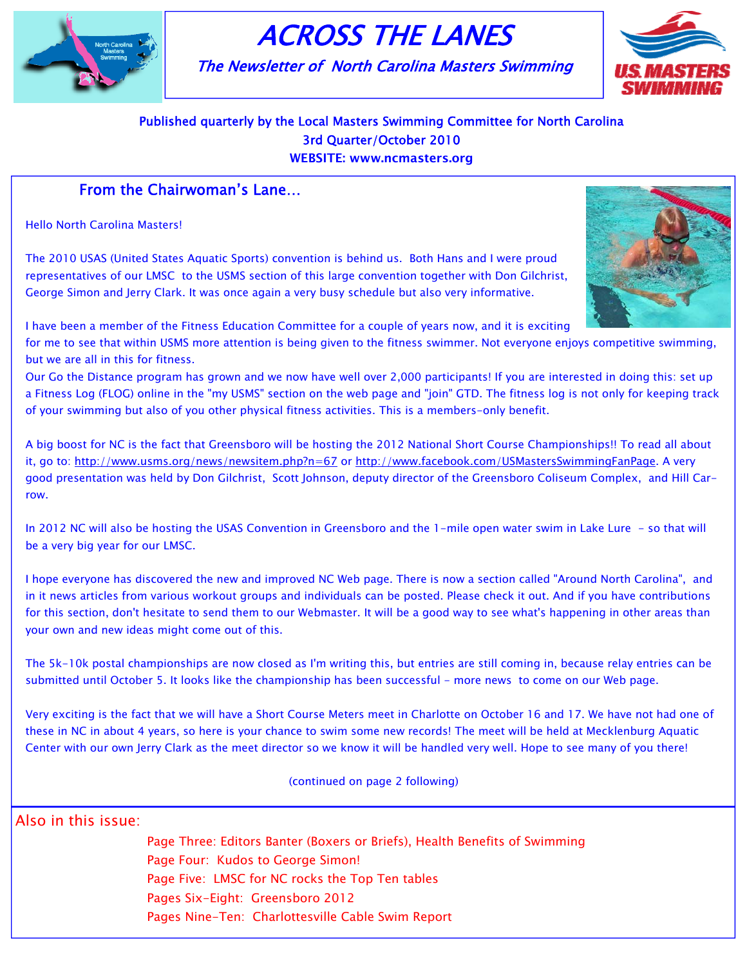

# ACROSS THE LANES

The Newsletter of North Carolina Masters Swimming



## Published quarterly by the Local Masters Swimming Committee for North Carolina 3rd Quarter/October 2010

WEBSITE: www.ncmasters.org

## From the Chairwoman's Lane…

Hello North Carolina Masters!

The 2010 USAS (United States Aquatic Sports) convention is behind us. Both Hans and I were proud representatives of our LMSC to the USMS section of this large convention together with Don Gilchrist, George Simon and Jerry Clark. It was once again a very busy schedule but also very informative.



I have been a member of the Fitness Education Committee for a couple of years now, and it is exciting

for me to see that within USMS more attention is being given to the fitness swimmer. Not everyone enjoys competitive swimming, but we are all in this for fitness.

Our Go the Distance program has grown and we now have well over 2,000 participants! If you are interested in doing this: set up a Fitness Log (FLOG) online in the "my USMS" section on the web page and "join" GTD. The fitness log is not only for keeping track of your swimming but also of you other physical fitness activities. This is a members-only benefit.

A big boost for NC is the fact that Greensboro will be hosting the 2012 National Short Course Championships!! To read all about it, go to: http://www.usms.org/news/newsitem.php?n=67 or http://www.facebook.com/USMastersSwimmingFanPage. A very good presentation was held by Don Gilchrist, Scott Johnson, deputy director of the Greensboro Coliseum Complex, and Hill Carrow.

In 2012 NC will also be hosting the USAS Convention in Greensboro and the 1-mile open water swim in Lake Lure - so that will be a very big year for our LMSC.

I hope everyone has discovered the new and improved NC Web page. There is now a section called "Around North Carolina", and in it news articles from various workout groups and individuals can be posted. Please check it out. And if you have contributions for this section, don't hesitate to send them to our Webmaster. It will be a good way to see what's happening in other areas than your own and new ideas might come out of this.

The 5k-10k postal championships are now closed as I'm writing this, but entries are still coming in, because relay entries can be submitted until October 5. It looks like the championship has been successful - more news to come on our Web page.

Very exciting is the fact that we will have a Short Course Meters meet in Charlotte on October 16 and 17. We have not had one of these in NC in about 4 years, so here is your chance to swim some new records! The meet will be held at Mecklenburg Aquatic Center with our own Jerry Clark as the meet director so we know it will be handled very well. Hope to see many of you there!

(continued on page 2 following)

Also in this issue:

Page Five: LMSC for NC rocks the Top Ten tables Page Three: Editors Banter (Boxers or Briefs), Health Benefits of Swimming Page Four: Kudos to George Simon! Pages Six-Eight: Greensboro 2012 Pages Nine-Ten: Charlottesville Cable Swim Report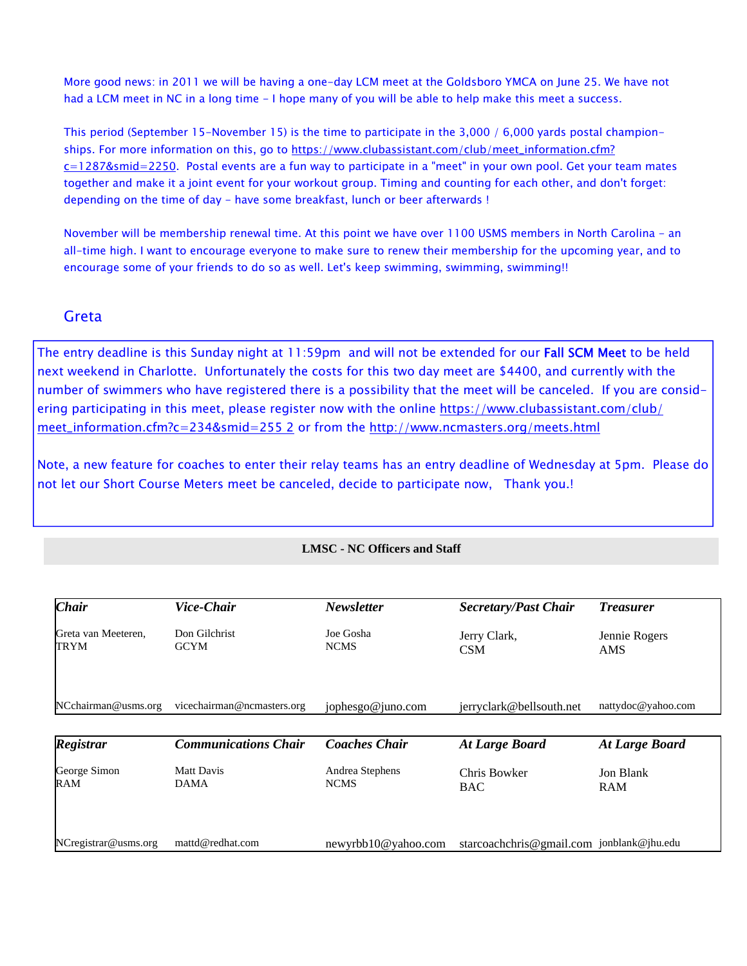More good news: in 2011 we will be having a one-day LCM meet at the Goldsboro YMCA on June 25. We have not had a LCM meet in NC in a long time - I hope many of you will be able to help make this meet a success.

This period (September 15-November 15) is the time to participate in the 3,000 / 6,000 yards postal championships. For more information on this, go to https://www.clubassistant.com/club/meet\_information.cfm? c=1287&smid=2250. Postal events are a fun way to participate in a "meet" in your own pool. Get your team mates together and make it a joint event for your workout group. Timing and counting for each other, and don't forget: depending on the time of day - have some breakfast, lunch or beer afterwards !

November will be membership renewal time. At this point we have over 1100 USMS members in North Carolina - an all-time high. I want to encourage everyone to make sure to renew their membership for the upcoming year, and to encourage some of your friends to do so as well. Let's keep swimming, swimming, swimming!!

## **Greta**

The entry deadline is this Sunday night at 11:59pm and will not be extended for our Fall SCM Meet to be held next weekend in Charlotte. Unfortunately the costs for this two day meet are \$4400, and currently with the number of swimmers who have registered there is a possibility that the meet will be canceled. If you are considering participating in this meet, please register now with the online https://www.clubassistant.com/club/ meet\_information.cfm?c=234&smid=255 2 or from the http://www.ncmasters.org/meets.html

Note, a new feature for coaches to enter their relay teams has an entry deadline of Wednesday at 5pm. Please do not let our Short Course Meters meet be canceled, decide to participate now, Thank you.!

## **LMSC - NC Officers and Staff**

| <b>Chair</b>                | Vice-Chair                       | <b>Newsletter</b>              | <b>Secretary/Past Chair</b>               | <b>Treasurer</b>        |
|-----------------------------|----------------------------------|--------------------------------|-------------------------------------------|-------------------------|
| Greta van Meeteren,<br>TRYM | Don Gilchrist<br><b>GCYM</b>     | Joe Gosha<br><b>NCMS</b>       | Jerry Clark,<br><b>CSM</b>                | Jennie Rogers<br>AMS    |
| NCchairman@usms.org         | vicechairman@ncmasters.org       | jophesgo@juno.com              | jerryclark@bellsouth.net                  | nattydoc@yahoo.com      |
| <b>Registrar</b>            | <b>Communications Chair</b>      | <b>Coaches Chair</b>           | <b>At Large Board</b>                     | <b>At Large Board</b>   |
| George Simon<br>RAM         | <b>Matt Davis</b><br><b>DAMA</b> | Andrea Stephens<br><b>NCMS</b> | Chris Bowker<br><b>BAC</b>                | Jon Blank<br><b>RAM</b> |
| NCregistrar@usms.org        | mattd@redhat.com                 | newyrbb10@yahoo.com            | starcoachchris@gmail.com jonblank@jhu.edu |                         |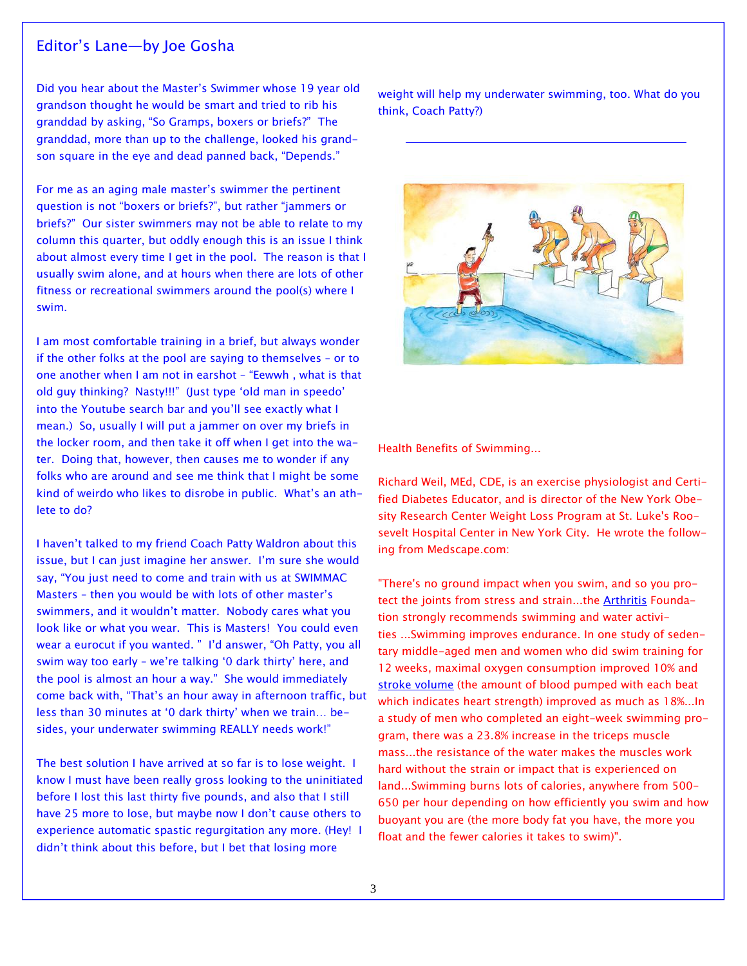## Editor's Lane—by Joe Gosha

Did you hear about the Master's Swimmer whose 19 year old grandson thought he would be smart and tried to rib his granddad by asking, "So Gramps, boxers or briefs?" The granddad, more than up to the challenge, looked his grandson square in the eye and dead panned back, "Depends."

For me as an aging male master's swimmer the pertinent question is not "boxers or briefs?", but rather "jammers or briefs?" Our sister swimmers may not be able to relate to my column this quarter, but oddly enough this is an issue I think about almost every time I get in the pool. The reason is that I usually swim alone, and at hours when there are lots of other fitness or recreational swimmers around the pool(s) where I swim.

I am most comfortable training in a brief, but always wonder if the other folks at the pool are saying to themselves – or to one another when I am not in earshot – "Eewwh , what is that old guy thinking? Nasty!!!" (Just type 'old man in speedo' into the Youtube search bar and you'll see exactly what I mean.) So, usually I will put a jammer on over my briefs in the locker room, and then take it off when I get into the water. Doing that, however, then causes me to wonder if any folks who are around and see me think that I might be some kind of weirdo who likes to disrobe in public. What's an athlete to do?

I haven't talked to my friend Coach Patty Waldron about this issue, but I can just imagine her answer. I'm sure she would say, "You just need to come and train with us at SWIMMAC Masters – then you would be with lots of other master's swimmers, and it wouldn't matter. Nobody cares what you look like or what you wear. This is Masters! You could even wear a eurocut if you wanted. " I'd answer, "Oh Patty, you all swim way too early – we're talking '0 dark thirty' here, and the pool is almost an hour a way." She would immediately come back with, "That's an hour away in afternoon traffic, but less than 30 minutes at '0 dark thirty' when we train… besides, your underwater swimming REALLY needs work!"

The best solution I have arrived at so far is to lose weight. I know I must have been really gross looking to the uninitiated before I lost this last thirty five pounds, and also that I still have 25 more to lose, but maybe now I don't cause others to experience automatic spastic regurgitation any more. (Hey! I didn't think about this before, but I bet that losing more

weight will help my underwater swimming, too. What do you think, Coach Patty?)



Health Benefits of Swimming...

Richard Weil, MEd, CDE, is an exercise physiologist and Certified Diabetes Educator, and is director of the New York Obesity Research Center Weight Loss Program at St. Luke's Roosevelt Hospital Center in New York City. He wrote the following from Medscape.com:

"There's no ground impact when you swim, and so you protect the joints from stress and strain...the Arthritis Foundation strongly recommends swimming and water activities ...Swimming improves endurance. In one study of sedentary middle-aged men and women who did swim training for 12 weeks, maximal oxygen consumption improved 10% and stroke volume (the amount of blood pumped with each beat which indicates heart strength) improved as much as 18%...In a study of men who completed an eight-week swimming program, there was a 23.8% increase in the triceps muscle mass...the resistance of the water makes the muscles work hard without the strain or impact that is experienced on land...Swimming burns lots of calories, anywhere from 500- 650 per hour depending on how efficiently you swim and how buoyant you are (the more body fat you have, the more you float and the fewer calories it takes to swim)".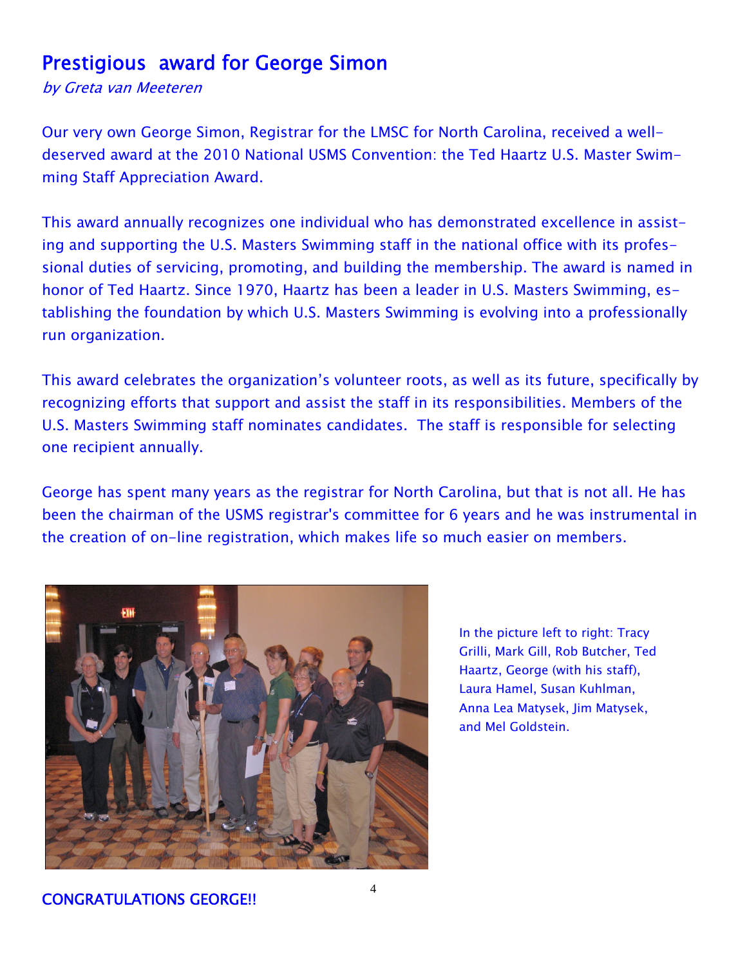# Prestigious award for George Simon

by Greta van Meeteren

Our very own George Simon, Registrar for the LMSC for North Carolina, received a welldeserved award at the 2010 National USMS Convention: the Ted Haartz U.S. Master Swimming Staff Appreciation Award.

This award annually recognizes one individual who has demonstrated excellence in assisting and supporting the U.S. Masters Swimming staff in the national office with its professional duties of servicing, promoting, and building the membership. The award is named in honor of Ted Haartz. Since 1970, Haartz has been a leader in U.S. Masters Swimming, establishing the foundation by which U.S. Masters Swimming is evolving into a professionally run organization.

This award celebrates the organization's volunteer roots, as well as its future, specifically by recognizing efforts that support and assist the staff in its responsibilities. Members of the U.S. Masters Swimming staff nominates candidates. The staff is responsible for selecting one recipient annually.

George has spent many years as the registrar for North Carolina, but that is not all. He has been the chairman of the USMS registrar's committee for 6 years and he was instrumental in the creation of on-line registration, which makes life so much easier on members.



In the picture left to right: Tracy Grilli, Mark Gill, Rob Butcher, Ted Haartz, George (with his staff), Laura Hamel, Susan Kuhlman, Anna Lea Matysek, Jim Matysek, and Mel Goldstein.

CONGRATULATIONS GEORGE!!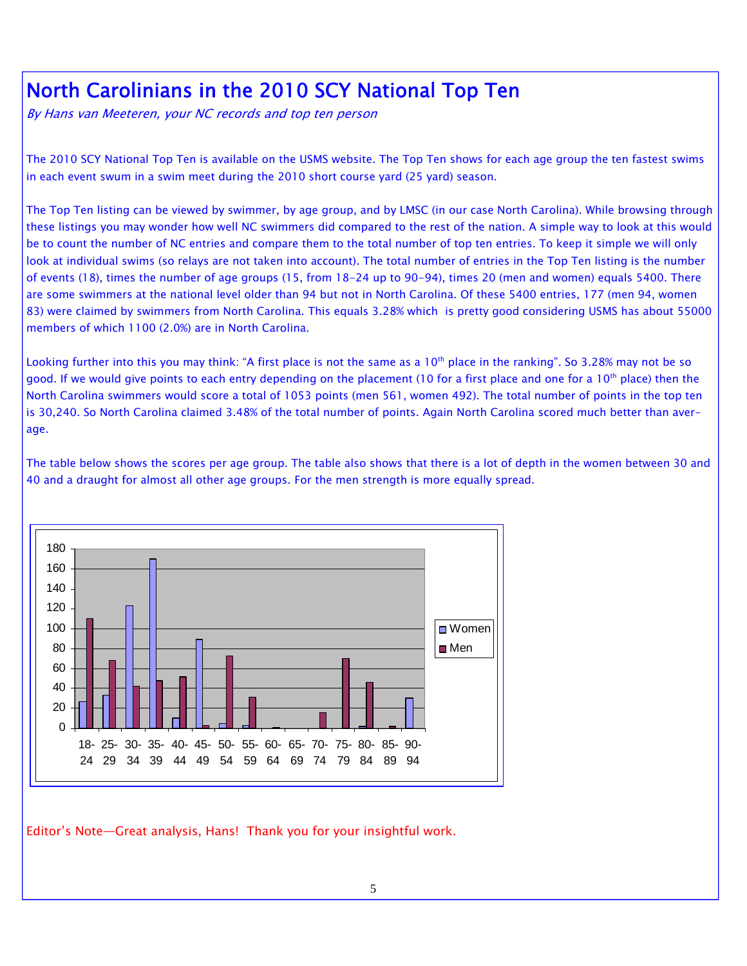# North Carolinians in the 2010 SCY National Top Ten

By Hans van Meeteren, your NC records and top ten person

The 2010 SCY National Top Ten is available on the USMS website. The Top Ten shows for each age group the ten fastest swims in each event swum in a swim meet during the 2010 short course yard (25 yard) season.

The Top Ten listing can be viewed by swimmer, by age group, and by LMSC (in our case North Carolina). While browsing through these listings you may wonder how well NC swimmers did compared to the rest of the nation. A simple way to look at this would be to count the number of NC entries and compare them to the total number of top ten entries. To keep it simple we will only look at individual swims (so relays are not taken into account). The total number of entries in the Top Ten listing is the number of events (18), times the number of age groups (15, from 18-24 up to 90-94), times 20 (men and women) equals 5400. There are some swimmers at the national level older than 94 but not in North Carolina. Of these 5400 entries, 177 (men 94, women 83) were claimed by swimmers from North Carolina. This equals 3.28% which is pretty good considering USMS has about 55000 members of which 1100 (2.0%) are in North Carolina.

Looking further into this you may think: "A first place is not the same as a 10<sup>th</sup> place in the ranking". So 3.28% may not be so good. If we would give points to each entry depending on the placement (10 for a first place and one for a 10<sup>th</sup> place) then the North Carolina swimmers would score a total of 1053 points (men 561, women 492). The total number of points in the top ten is 30,240. So North Carolina claimed 3.48% of the total number of points. Again North Carolina scored much better than average.

The table below shows the scores per age group. The table also shows that there is a lot of depth in the women between 30 and 40 and a draught for almost all other age groups. For the men strength is more equally spread.



Editor's Note—Great analysis, Hans! Thank you for your insightful work.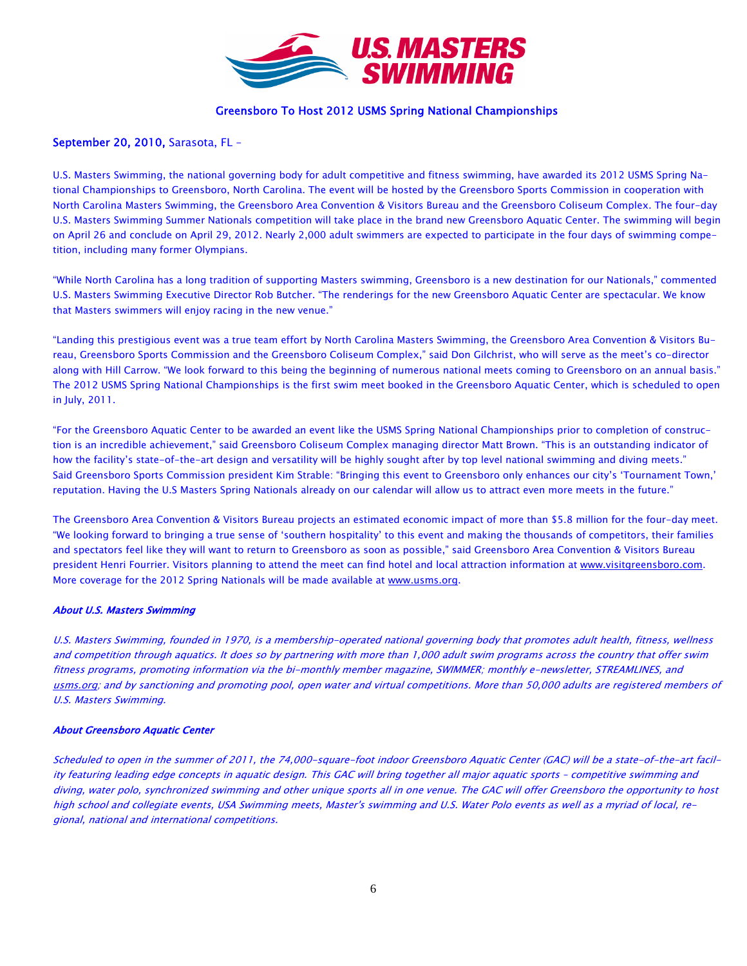

## Greensboro To Host 2012 USMS Spring National Championships

## September 20, 2010, Sarasota, FL –

U.S. Masters Swimming, the national governing body for adult competitive and fitness swimming, have awarded its 2012 USMS Spring National Championships to Greensboro, North Carolina. The event will be hosted by the Greensboro Sports Commission in cooperation with North Carolina Masters Swimming, the Greensboro Area Convention & Visitors Bureau and the Greensboro Coliseum Complex. The four-day U.S. Masters Swimming Summer Nationals competition will take place in the brand new Greensboro Aquatic Center. The swimming will begin on April 26 and conclude on April 29, 2012. Nearly 2,000 adult swimmers are expected to participate in the four days of swimming competition, including many former Olympians.

"While North Carolina has a long tradition of supporting Masters swimming, Greensboro is a new destination for our Nationals," commented U.S. Masters Swimming Executive Director Rob Butcher. "The renderings for the new Greensboro Aquatic Center are spectacular. We know that Masters swimmers will enjoy racing in the new venue."

"Landing this prestigious event was a true team effort by North Carolina Masters Swimming, the Greensboro Area Convention & Visitors Bureau, Greensboro Sports Commission and the Greensboro Coliseum Complex," said Don Gilchrist, who will serve as the meet's co-director along with Hill Carrow. "We look forward to this being the beginning of numerous national meets coming to Greensboro on an annual basis." The 2012 USMS Spring National Championships is the first swim meet booked in the Greensboro Aquatic Center, which is scheduled to open in July, 2011.

"For the Greensboro Aquatic Center to be awarded an event like the USMS Spring National Championships prior to completion of construction is an incredible achievement," said Greensboro Coliseum Complex managing director Matt Brown. "This is an outstanding indicator of how the facility's state-of-the-art design and versatility will be highly sought after by top level national swimming and diving meets." Said Greensboro Sports Commission president Kim Strable: "Bringing this event to Greensboro only enhances our city's 'Tournament Town,' reputation. Having the U.S Masters Spring Nationals already on our calendar will allow us to attract even more meets in the future."

The Greensboro Area Convention & Visitors Bureau projects an estimated economic impact of more than \$5.8 million for the four-day meet. "We looking forward to bringing a true sense of 'southern hospitality' to this event and making the thousands of competitors, their families and spectators feel like they will want to return to Greensboro as soon as possible," said Greensboro Area Convention & Visitors Bureau president Henri Fourrier. Visitors planning to attend the meet can find hotel and local attraction information at www.visitgreensboro.com. More coverage for the 2012 Spring Nationals will be made available at www.usms.org.

#### About U.S. Masters Swimming

U.S. Masters Swimming, founded in 1970, is a membership-operated national governing body that promotes adult health, fitness, wellness and competition through aquatics. It does so by partnering with more than 1,000 adult swim programs across the country that offer swim fitness programs, promoting information via the bi-monthly member magazine, SWIMMER; monthly e-newsletter, STREAMLINES, and usms.org; and by sanctioning and promoting pool, open water and virtual competitions. More than 50,000 adults are registered members of U.S. Masters Swimming.

#### About Greensboro Aquatic Center

Scheduled to open in the summer of 2011, the 74,000-square-foot indoor Greensboro Aquatic Center (GAC) will be a state-of-the-art facility featuring leading edge concepts in aquatic design. This GAC will bring together all major aquatic sports – competitive swimming and diving, water polo, synchronized swimming and other unique sports all in one venue. The GAC will offer Greensboro the opportunity to host high school and collegiate events, USA Swimming meets, Master's swimming and U.S. Water Polo events as well as a myriad of local, regional, national and international competitions.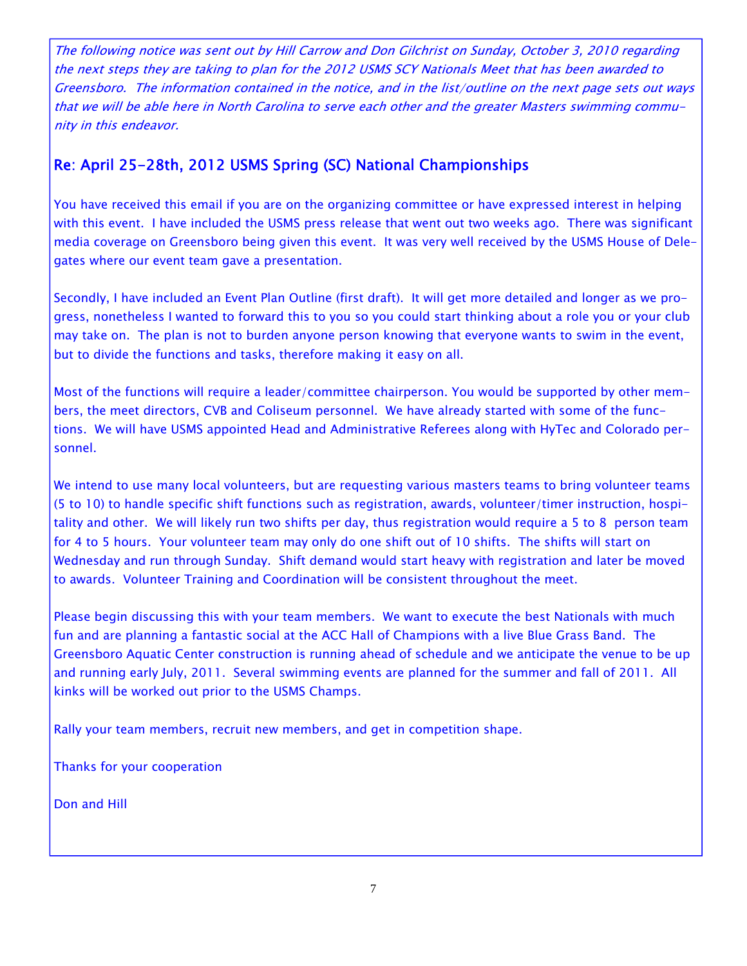The following notice was sent out by Hill Carrow and Don Gilchrist on Sunday, October 3, 2010 regarding the next steps they are taking to plan for the 2012 USMS SCY Nationals Meet that has been awarded to Greensboro. The information contained in the notice, and in the list/outline on the next page sets out ways that we will be able here in North Carolina to serve each other and the greater Masters swimming community in this endeavor.

## Re: April 25-28th, 2012 USMS Spring (SC) National Championships

You have received this email if you are on the organizing committee or have expressed interest in helping with this event. I have included the USMS press release that went out two weeks ago. There was significant media coverage on Greensboro being given this event. It was very well received by the USMS House of Delegates where our event team gave a presentation.

Secondly, I have included an Event Plan Outline (first draft). It will get more detailed and longer as we progress, nonetheless I wanted to forward this to you so you could start thinking about a role you or your club may take on. The plan is not to burden anyone person knowing that everyone wants to swim in the event, but to divide the functions and tasks, therefore making it easy on all.

Most of the functions will require a leader/committee chairperson. You would be supported by other members, the meet directors, CVB and Coliseum personnel. We have already started with some of the functions. We will have USMS appointed Head and Administrative Referees along with HyTec and Colorado personnel.

We intend to use many local volunteers, but are requesting various masters teams to bring volunteer teams (5 to 10) to handle specific shift functions such as registration, awards, volunteer/timer instruction, hospitality and other. We will likely run two shifts per day, thus registration would require a 5 to 8 person team for 4 to 5 hours. Your volunteer team may only do one shift out of 10 shifts. The shifts will start on Wednesday and run through Sunday. Shift demand would start heavy with registration and later be moved to awards. Volunteer Training and Coordination will be consistent throughout the meet.

Please begin discussing this with your team members. We want to execute the best Nationals with much fun and are planning a fantastic social at the ACC Hall of Champions with a live Blue Grass Band. The Greensboro Aquatic Center construction is running ahead of schedule and we anticipate the venue to be up and running early July, 2011. Several swimming events are planned for the summer and fall of 2011. All kinks will be worked out prior to the USMS Champs.

Rally your team members, recruit new members, and get in competition shape.

Thanks for your cooperation

Don and Hill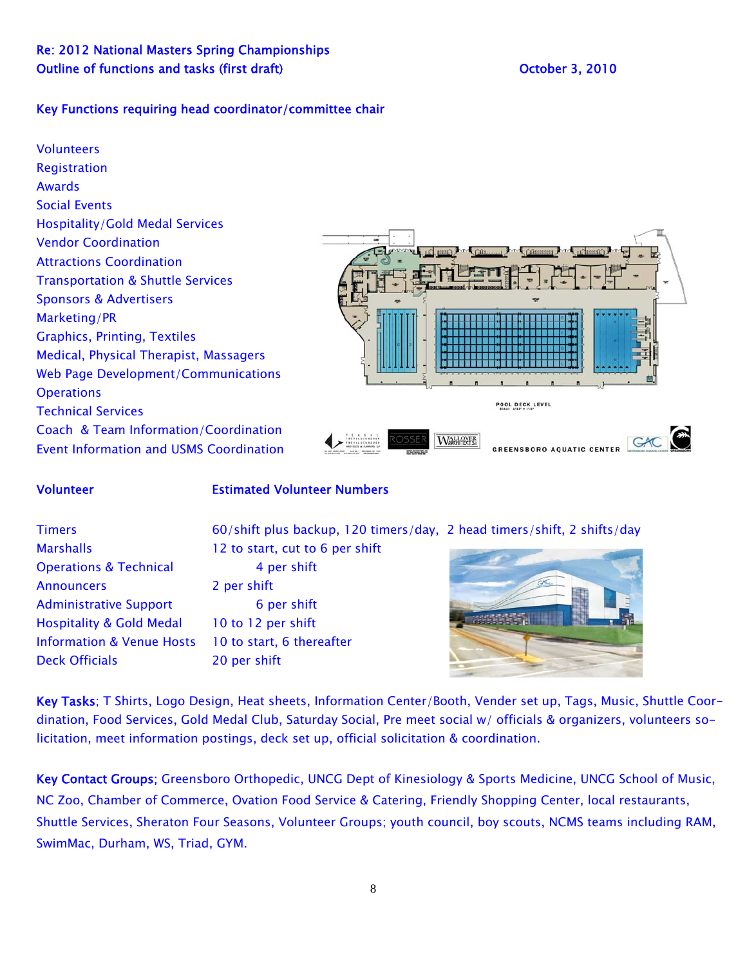## Key Functions requiring head coordinator/committee chair

**Volunteers** Registration Awards Social Events Hospitality/Gold Medal Services Vendor Coordination Attractions Coordination Transportation & Shuttle Services Sponsors & Advertisers Marketing/PR Graphics, Printing, Textiles Medical, Physical Therapist, Massagers Web Page Development/Communications **Operations** POOL DECK LEVEL Technical Services Coach & Team Information/Coordination **WAHRER** GAC Event Information and USMS Coordination **GREENSBORO AQUATIC CENTER** 

## Volunteer Estimated Volunteer Numbers

Operations & Technical 4 per shift Announcers 2 per shift Administrative Support 6 per shift Hospitality & Gold Medal 10 to 12 per shift Information & Venue Hosts 10 to start, 6 thereafter Deck Officials 20 per shift

Timers 60/shift plus backup, 120 timers/day, 2 head timers/shift, 2 shifts/day Marshalls 12 to start, cut to 6 per shift

Key Tasks; T Shirts, Logo Design, Heat sheets, Information Center/Booth, Vender set up, Tags, Music, Shuttle Coordination, Food Services, Gold Medal Club, Saturday Social, Pre meet social w/ officials & organizers, volunteers solicitation, meet information postings, deck set up, official solicitation & coordination.

Key Contact Groups; Greensboro Orthopedic, UNCG Dept of Kinesiology & Sports Medicine, UNCG School of Music, NC Zoo, Chamber of Commerce, Ovation Food Service & Catering, Friendly Shopping Center, local restaurants, Shuttle Services, Sheraton Four Seasons, Volunteer Groups; youth council, boy scouts, NCMS teams including RAM, SwimMac, Durham, WS, Triad, GYM.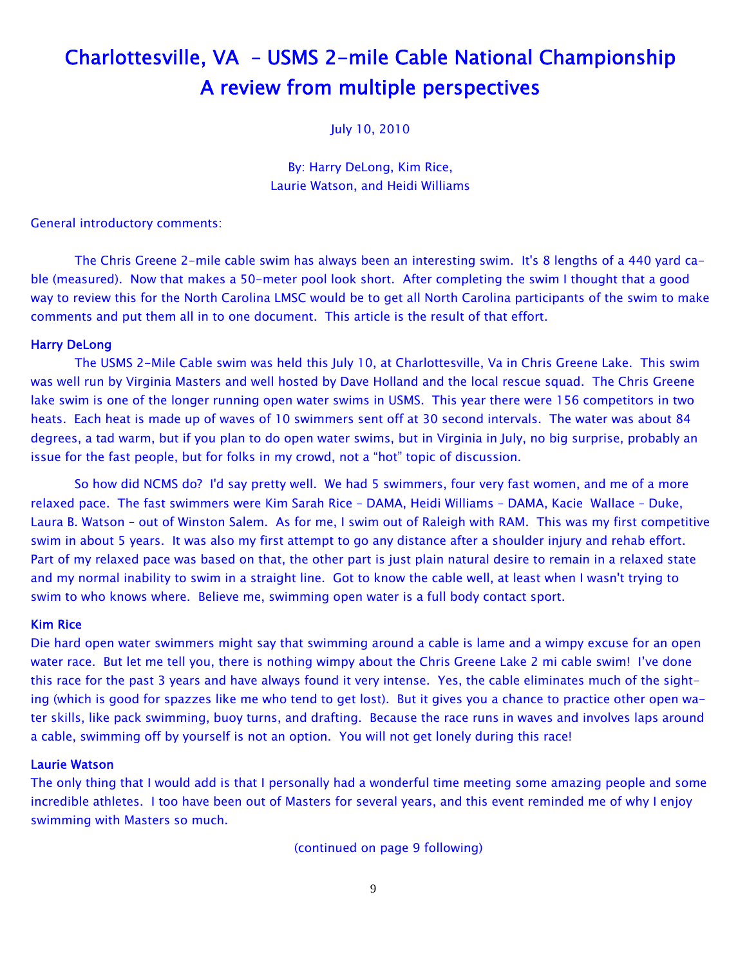# Charlottesville, VA – USMS 2-mile Cable National Championship A review from multiple perspectives

July 10, 2010

By: Harry DeLong, Kim Rice, Laurie Watson, and Heidi Williams

## General introductory comments:

 The Chris Greene 2-mile cable swim has always been an interesting swim. It's 8 lengths of a 440 yard cable (measured). Now that makes a 50-meter pool look short. After completing the swim I thought that a good way to review this for the North Carolina LMSC would be to get all North Carolina participants of the swim to make comments and put them all in to one document. This article is the result of that effort.

#### Harry DeLong

 The USMS 2-Mile Cable swim was held this July 10, at Charlottesville, Va in Chris Greene Lake. This swim was well run by Virginia Masters and well hosted by Dave Holland and the local rescue squad. The Chris Greene lake swim is one of the longer running open water swims in USMS. This year there were 156 competitors in two heats. Each heat is made up of waves of 10 swimmers sent off at 30 second intervals. The water was about 84 degrees, a tad warm, but if you plan to do open water swims, but in Virginia in July, no big surprise, probably an issue for the fast people, but for folks in my crowd, not a "hot" topic of discussion.

 So how did NCMS do? I'd say pretty well. We had 5 swimmers, four very fast women, and me of a more relaxed pace. The fast swimmers were Kim Sarah Rice – DAMA, Heidi Williams – DAMA, Kacie Wallace – Duke, Laura B. Watson – out of Winston Salem. As for me, I swim out of Raleigh with RAM. This was my first competitive swim in about 5 years. It was also my first attempt to go any distance after a shoulder injury and rehab effort. Part of my relaxed pace was based on that, the other part is just plain natural desire to remain in a relaxed state and my normal inability to swim in a straight line. Got to know the cable well, at least when I wasn't trying to swim to who knows where. Believe me, swimming open water is a full body contact sport.

## Kim Rice

Die hard open water swimmers might say that swimming around a cable is lame and a wimpy excuse for an open water race. But let me tell you, there is nothing wimpy about the Chris Greene Lake 2 mi cable swim! I've done this race for the past 3 years and have always found it very intense. Yes, the cable eliminates much of the sighting (which is good for spazzes like me who tend to get lost). But it gives you a chance to practice other open water skills, like pack swimming, buoy turns, and drafting. Because the race runs in waves and involves laps around a cable, swimming off by yourself is not an option. You will not get lonely during this race!

## Laurie Watson

The only thing that I would add is that I personally had a wonderful time meeting some amazing people and some incredible athletes. I too have been out of Masters for several years, and this event reminded me of why I enjoy swimming with Masters so much.

(continued on page 9 following)